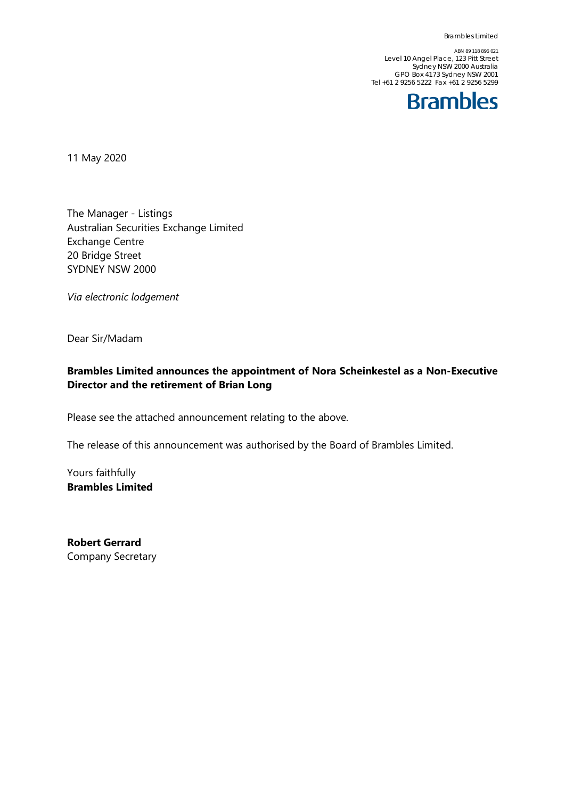ABN 89 118 896 021 Level 10 Angel Place, 123 Pitt Street Sydney NSW 2000 Australia GPO Box 4173 Sydney NSW 2001 Tel +61 2 9256 5222 Fax +61 2 9256 5299



11 May 2020

The Manager - Listings Australian Securities Exchange Limited Exchange Centre 20 Bridge Street SYDNEY NSW 2000

*Via electronic lodgement*

Dear Sir/Madam

### **Brambles Limited announces the appointment of Nora Scheinkestel as a Non-Executive Director and the retirement of Brian Long**

Please see the attached announcement relating to the above.

The release of this announcement was authorised by the Board of Brambles Limited.

Yours faithfully **Brambles Limited**

**Robert Gerrard** Company Secretary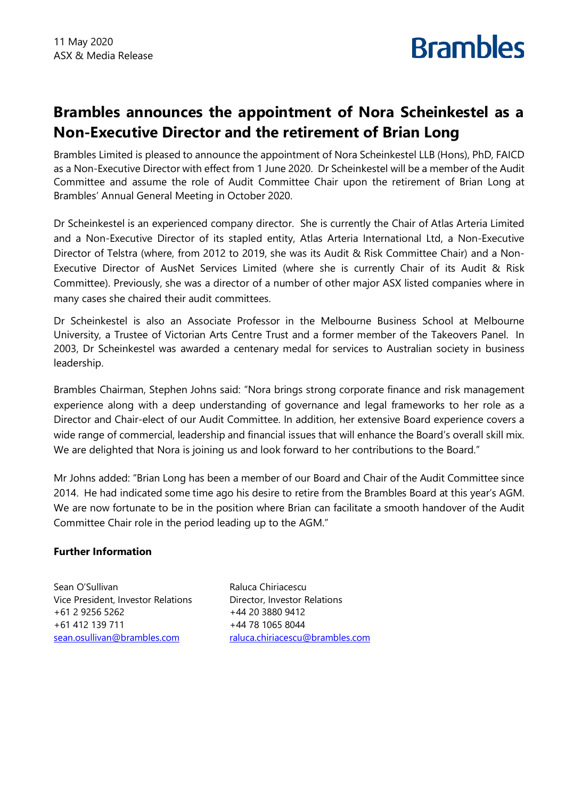## **Brambles announces the appointment of Nora Scheinkestel as a Non-Executive Director and the retirement of Brian Long**

**Brambles** 

Brambles Limited is pleased to announce the appointment of Nora Scheinkestel LLB (Hons), PhD, FAICD as a Non-Executive Director with effect from 1 June 2020. Dr Scheinkestel will be a member of the Audit Committee and assume the role of Audit Committee Chair upon the retirement of Brian Long at Brambles' Annual General Meeting in October 2020.

Dr Scheinkestel is an experienced company director. She is currently the Chair of Atlas Arteria Limited and a Non-Executive Director of its stapled entity, Atlas Arteria International Ltd, a Non-Executive Director of Telstra (where, from 2012 to 2019, she was its Audit & Risk Committee Chair) and a Non-Executive Director of AusNet Services Limited (where she is currently Chair of its Audit & Risk Committee). Previously, she was a director of a number of other major ASX listed companies where in many cases she chaired their audit committees.

Dr Scheinkestel is also an Associate Professor in the Melbourne Business School at Melbourne University, a Trustee of Victorian Arts Centre Trust and a former member of the Takeovers Panel. In 2003, Dr Scheinkestel was awarded a centenary medal for services to Australian society in business leadership.

Brambles Chairman, Stephen Johns said: "Nora brings strong corporate finance and risk management experience along with a deep understanding of governance and legal frameworks to her role as a Director and Chair-elect of our Audit Committee. In addition, her extensive Board experience covers a wide range of commercial, leadership and financial issues that will enhance the Board's overall skill mix. We are delighted that Nora is joining us and look forward to her contributions to the Board."

Mr Johns added: "Brian Long has been a member of our Board and Chair of the Audit Committee since 2014. He had indicated some time ago his desire to retire from the Brambles Board at this year's AGM. We are now fortunate to be in the position where Brian can facilitate a smooth handover of the Audit Committee Chair role in the period leading up to the AGM."

### **Further Information**

Sean O'Sullivan Vice President, Investor Relations +61 2 9256 5262 +61 412 139 711 [sean.osullivan@brambles.com](mailto:sean.osullivan@brambles.com)

Raluca Chiriacescu Director, Investor Relations +44 20 3880 9412 +44 78 1065 8044 [raluca.chiriacescu@brambles.com](mailto:raluca.chiriacescu@brambles.com)